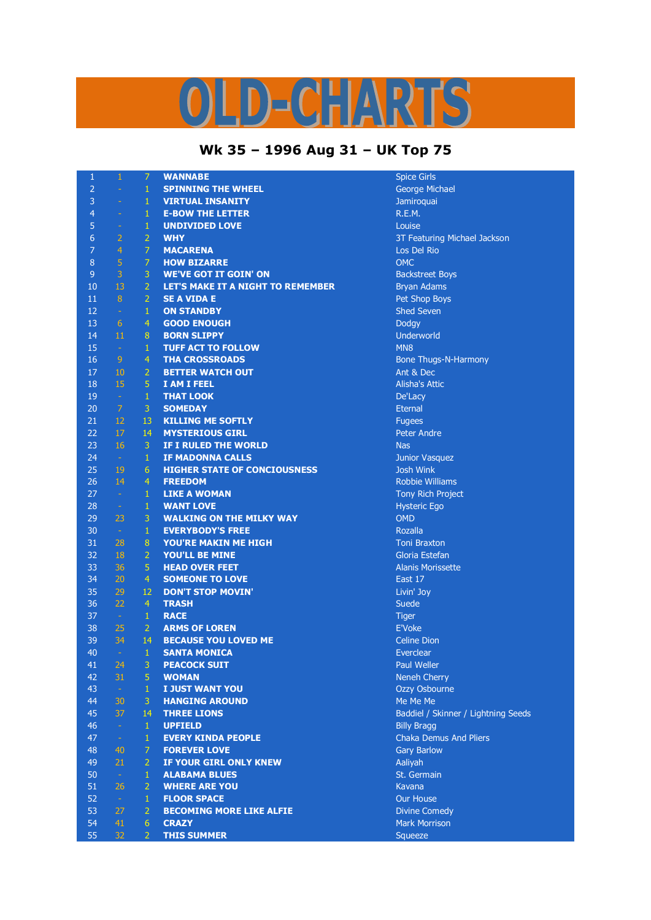## LD-CHARTS

## **Wk 35 – 1996 Aug 31 – UK Top 75**

| $\mathbf{1}$   | $\mathbf{1}$   | $\overline{7}$ | <b>WANNABE</b>                      | <b>Spice Girls</b>                  |
|----------------|----------------|----------------|-------------------------------------|-------------------------------------|
| $\overline{2}$ | ÷,             | $\mathbf{1}$   | <b>SPINNING THE WHEEL</b>           | George Michael                      |
| 3              | $\equiv$       | $\,1\,$        | <b>VIRTUAL INSANITY</b>             | Jamiroquai                          |
| $\overline{4}$ | ÷              | $\mathbf 1$    | <b>E-BOW THE LETTER</b>             | R.E.M.                              |
| 5              | $\equiv$       | $\mathbf{1}$   | <b>UNDIVIDED LOVE</b>               | Louise                              |
| $6\phantom{1}$ | $\overline{2}$ | $\overline{2}$ | <b>WHY</b>                          | 3T Featuring Michael Jackson        |
| $\overline{7}$ | $\overline{4}$ | $\overline{7}$ | <b>MACARENA</b>                     | Los Del Rio                         |
| $\bf 8$        | 5              | $\overline{7}$ | <b>HOW BIZARRE</b>                  | <b>OMC</b>                          |
| $\overline{9}$ | $\overline{3}$ | 3              | <b>WE'VE GOT IT GOIN' ON</b>        | <b>Backstreet Boys</b>              |
| 10             | 13             | $\overline{2}$ | LET'S MAKE IT A NIGHT TO REMEMBER   | <b>Bryan Adams</b>                  |
| 11             | $\, 8$         | $\overline{2}$ | <b>SE A VIDA E</b>                  | Pet Shop Boys                       |
| 12             | $\omega$       | $\mathbf{1}$   | <b>ON STANDBY</b>                   | <b>Shed Seven</b>                   |
| 13             | 6              | $\overline{4}$ | <b>GOOD ENOUGH</b>                  | Dodgy                               |
| 14             | 11             | 8              | <b>BORN SLIPPY</b>                  | Underworld                          |
| 15             | $\sim$         | $\mathbf{1}$   | <b>TUFF ACT TO FOLLOW</b>           | MN <sub>8</sub>                     |
| 16             | 9              | $\overline{4}$ | <b>THA CROSSROADS</b>               | <b>Bone Thugs-N-Harmony</b>         |
| 17             | 10             | $\overline{2}$ | <b>BETTER WATCH OUT</b>             | Ant & Dec                           |
| 18             | 15             | $\sqrt{5}$     | I AM I FEEL                         | <b>Alisha's Attic</b>               |
| 19             | $\sim$         | $\mathbf{1}$   | <b>THAT LOOK</b>                    | De'Lacy                             |
| 20             | $\overline{7}$ | $\overline{3}$ | <b>SOMEDAY</b>                      | <b>Eternal</b>                      |
| 21             | 12             | 13             | <b>KILLING ME SOFTLY</b>            | <b>Fugees</b>                       |
| 22             | 17             | 14             | <b>MYSTERIOUS GIRL</b>              | <b>Peter Andre</b>                  |
| 23             | 16             | $\overline{3}$ | IF I RULED THE WORLD                | <b>Nas</b>                          |
| 24             | $\sim$         | $\mathbf 1$    | <b>IF MADONNA CALLS</b>             | Junior Vasquez                      |
| 25             | 19             | 6              | <b>HIGHER STATE OF CONCIOUSNESS</b> | <b>Josh Wink</b>                    |
| 26             | 14             | $\overline{4}$ | <b>FREEDOM</b>                      | <b>Robbie Williams</b>              |
| 27             | $\sim$         | $\mathbf{1}$   | <b>LIKE A WOMAN</b>                 | Tony Rich Project                   |
| 28             | $\sim$         | $\mathbf{1}$   | <b>WANT LOVE</b>                    | <b>Hysteric Ego</b>                 |
| 29             | 23             | 3              | <b>WALKING ON THE MILKY WAY</b>     | <b>OMD</b>                          |
| 30             | $\sim$         | $\mathbf{1}$   | <b>EVERYBODY'S FREE</b>             | Rozalla                             |
| 31             | 28             | 8              | YOU'RE MAKIN ME HIGH                | <b>Toni Braxton</b>                 |
| 32             | 18             | $\overline{2}$ | YOU'LL BE MINE                      | Gloria Estefan                      |
| 33             | 36             | 5              | <b>HEAD OVER FEET</b>               | <b>Alanis Morissette</b>            |
| 34             | 20             | $\overline{4}$ | <b>SOMEONE TO LOVE</b>              | East 17                             |
| 35             | 29             | 12             | <b>DON'T STOP MOVIN'</b>            | Livin' Joy                          |
| 36             | 22             | $\overline{4}$ | <b>TRASH</b>                        | Suede                               |
| 37             | $\sim$         | $\mathbf{1}$   | <b>RACE</b>                         | <b>Tiger</b>                        |
| 38             | 25             | $\overline{2}$ | <b>ARMS OF LOREN</b>                | <b>E'Voke</b>                       |
| 39             | 34             | 14             | <b>BECAUSE YOU LOVED ME</b>         | <b>Celine Dion</b>                  |
| 40             | $\sim$         | $\mathbf{1}$   | <b>SANTA MONICA</b>                 | Everclear                           |
| 41             | 24             | 3              | <b>PEACOCK SUIT</b>                 | Paul Weller                         |
| 42             | 31             | 5              | <b>WOMAN</b>                        | <b>Neneh Cherry</b>                 |
| 43             | $\omega$       | $\mathbf{1}$   | <b>I JUST WANT YOU</b>              | Ozzy Osbourne                       |
| 44             | 30             | 3              | <b>HANGING AROUND</b>               | Me Me Me                            |
| 45             | 37             | 14             | <b>THREE LIONS</b>                  | Baddiel / Skinner / Lightning Seeds |
| 46             | $\sim$         | $\mathbf{1}$   | <b>UPFIELD</b>                      | <b>Billy Bragg</b>                  |
| 47             | $\sim$         | $\mathbf 1$    | <b>EVERY KINDA PEOPLE</b>           | <b>Chaka Demus And Pliers</b>       |
| 48             | 40             | 7              | <b>FOREVER LOVE</b>                 | <b>Gary Barlow</b>                  |
| 49             | 21             | $\overline{2}$ | IF YOUR GIRL ONLY KNEW              | Aaliyah                             |
| 50             | $\sim$         | $\mathbf{1}$   | <b>ALABAMA BLUES</b>                | St. Germain                         |
| 51             | 26             | $\overline{2}$ | <b>WHERE ARE YOU</b>                | Kavana                              |
| 52             | $\sim$         | $\,1\,$        | <b>FLOOR SPACE</b>                  | Our House                           |
| 53             | 27             | $\overline{2}$ | <b>BECOMING MORE LIKE ALFIE</b>     | <b>Divine Comedy</b>                |
| 54             | 41             | $\sqrt{6}$     | <b>CRAZY</b>                        | Mark Morrison                       |
| 55             | 32             | $\overline{2}$ | <b>THIS SUMMER</b>                  | Squeeze                             |